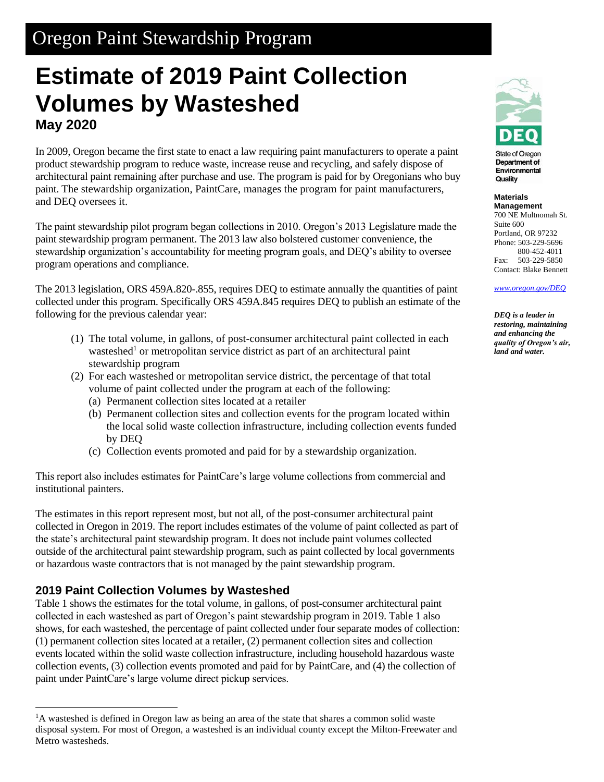## Oregon Paint Stewardship Program

# **Estimate of 2019 Paint Collection Volumes by Wasteshed May 2020**

In 2009, Oregon became the first state to enact a law requiring paint manufacturers to operate a paint product stewardship program to reduce waste, increase reuse and recycling, and safely dispose of architectural paint remaining after purchase and use. The program is paid for by Oregonians who buy paint. The stewardship organization, PaintCare, manages the program for paint manufacturers, and DEQ oversees it.

The paint stewardship pilot program began collections in 2010. Oregon's 2013 Legislature made the paint stewardship program permanent. The 2013 law also bolstered customer convenience, the stewardship organization's accountability for meeting program goals, and DEQ's ability to oversee program operations and compliance.

The 2013 legislation, ORS 459A.820-.855, requires DEQ to estimate annually the quantities of paint collected under this program. Specifically ORS 459A.845 requires DEQ to publish an estimate of the following for the previous calendar year:

- (1) The total volume, in gallons, of post-consumer architectural paint collected in each wasteshed<sup>1</sup> or metropolitan service district as part of an architectural paint stewardship program
- (2) For each wasteshed or metropolitan service district, the percentage of that total volume of paint collected under the program at each of the following:
	- (a) Permanent collection sites located at a retailer
	- (b) Permanent collection sites and collection events for the program located within the local solid waste collection infrastructure, including collection events funded by DEQ
	- (c) Collection events promoted and paid for by a stewardship organization.

This report also includes estimates for PaintCare's large volume collections from commercial and institutional painters.

The estimates in this report represent most, but not all, of the post-consumer architectural paint collected in Oregon in 2019. The report includes estimates of the volume of paint collected as part of the state's architectural paint stewardship program. It does not include paint volumes collected outside of the architectural paint stewardship program, such as paint collected by local governments or hazardous waste contractors that is not managed by the paint stewardship program.

### **2019 Paint Collection Volumes by Wasteshed**

l

Table 1 shows the estimates for the total volume, in gallons, of post-consumer architectural paint collected in each wasteshed as part of Oregon's paint stewardship program in 2019. Table 1 also shows, for each wasteshed, the percentage of paint collected under four separate modes of collection: (1) permanent collection sites located at a retailer, (2) permanent collection sites and collection events located within the solid waste collection infrastructure, including household hazardous waste collection events, (3) collection events promoted and paid for by PaintCare, and (4) the collection of paint under PaintCare's large volume direct pickup services.



**State of Oregon** Department of Environmental Quality

**Materials Management** 700 NE Multnomah St. Suite 600 Portland, OR 97232 Phone: 503-229-5696 800-452-4011 Fax: 503-229-5850

Contact: Blake Bennett *[www.oregon.gov/DEQ](file://///deq000/Templates/General/www.oregon.gov/DEQ)*

*DEQ is a leader in restoring, maintaining and enhancing the quality of Oregon's air, land and water.*

<sup>&</sup>lt;sup>1</sup>A wasteshed is defined in Oregon law as being an area of the state that shares a common solid waste disposal system. For most of Oregon, a wasteshed is an individual county except the Milton-Freewater and Metro wastesheds.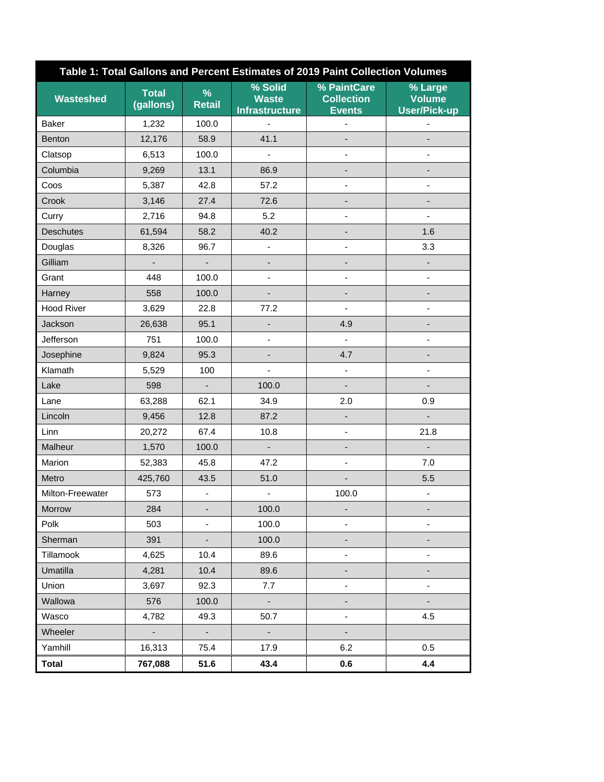| Table 1: Total Gallons and Percent Estimates of 2019 Paint Collection Volumes |                           |                          |                                                  |                                                   |                                                 |
|-------------------------------------------------------------------------------|---------------------------|--------------------------|--------------------------------------------------|---------------------------------------------------|-------------------------------------------------|
| <b>Wasteshed</b>                                                              | <b>Total</b><br>(gallons) | %<br><b>Retail</b>       | % Solid<br><b>Waste</b><br><b>Infrastructure</b> | % PaintCare<br><b>Collection</b><br><b>Events</b> | % Large<br><b>Volume</b><br><b>User/Pick-up</b> |
| Baker                                                                         | 1,232                     | 100.0                    | $\blacksquare$                                   |                                                   |                                                 |
| <b>Benton</b>                                                                 | 12,176                    | 58.9                     | 41.1                                             |                                                   |                                                 |
| Clatsop                                                                       | 6,513                     | 100.0                    | $\blacksquare$                                   | $\blacksquare$                                    | $\overline{\phantom{0}}$                        |
| Columbia                                                                      | 9,269                     | 13.1                     | 86.9                                             |                                                   |                                                 |
| Coos                                                                          | 5,387                     | 42.8                     | 57.2                                             |                                                   |                                                 |
| Crook                                                                         | 3,146                     | 27.4                     | 72.6                                             |                                                   |                                                 |
| Curry                                                                         | 2,716                     | 94.8                     | 5.2                                              | $\qquad \qquad \blacksquare$                      | $\overline{\phantom{0}}$                        |
| <b>Deschutes</b>                                                              | 61,594                    | 58.2                     | 40.2                                             |                                                   | 1.6                                             |
| Douglas                                                                       | 8,326                     | 96.7                     |                                                  |                                                   | 3.3                                             |
| Gilliam                                                                       |                           | $\frac{1}{2}$            |                                                  |                                                   |                                                 |
| Grant                                                                         | 448                       | 100.0                    |                                                  | $\qquad \qquad \blacksquare$                      |                                                 |
| Harney                                                                        | 558                       | 100.0                    |                                                  |                                                   |                                                 |
| <b>Hood River</b>                                                             | 3,629                     | 22.8                     | 77.2                                             | $\blacksquare$                                    | $\overline{\phantom{0}}$                        |
| Jackson                                                                       | 26,638                    | 95.1                     |                                                  | 4.9                                               |                                                 |
| Jefferson                                                                     | 751                       | 100.0                    |                                                  |                                                   |                                                 |
| Josephine                                                                     | 9,824                     | 95.3                     |                                                  | 4.7                                               |                                                 |
| Klamath                                                                       | 5,529                     | 100                      |                                                  | $\overline{\phantom{a}}$                          | $\overline{\phantom{0}}$                        |
| Lake                                                                          | 598                       | $\overline{\phantom{a}}$ | 100.0                                            |                                                   |                                                 |
| Lane                                                                          | 63,288                    | 62.1                     | 34.9                                             | 2.0                                               | 0.9                                             |
| Lincoln                                                                       | 9,456                     | 12.8                     | 87.2                                             |                                                   |                                                 |
| Linn                                                                          | 20,272                    | 67.4                     | 10.8                                             | $\qquad \qquad \blacksquare$                      | 21.8                                            |
| Malheur                                                                       | 1,570                     | 100.0                    | -                                                |                                                   |                                                 |
| Marion                                                                        | 52,383                    | 45.8                     | 47.2                                             | $\overline{\phantom{a}}$                          | 7.0                                             |
| Metro                                                                         | 425,760                   | 43.5                     | 51.0                                             |                                                   | 5.5                                             |
| Milton-Freewater                                                              | 573                       | $\overline{\phantom{a}}$ | -                                                | 100.0                                             |                                                 |
| Morrow                                                                        | 284                       |                          | 100.0                                            |                                                   |                                                 |
| Polk                                                                          | 503                       | $\overline{\phantom{0}}$ | 100.0                                            | $\overline{\phantom{0}}$                          |                                                 |
| Sherman                                                                       | 391                       | ۰                        | 100.0                                            |                                                   |                                                 |
| Tillamook                                                                     | 4,625                     | 10.4                     | 89.6                                             | $\qquad \qquad \blacksquare$                      | -                                               |
| Umatilla                                                                      | 4,281                     | 10.4                     | 89.6                                             |                                                   |                                                 |
| Union                                                                         | 3,697                     | 92.3                     | 7.7                                              |                                                   |                                                 |
| Wallowa                                                                       | 576                       | 100.0                    | ۰                                                |                                                   |                                                 |
| Wasco                                                                         | 4,782                     | 49.3                     | 50.7                                             | $\overline{\phantom{a}}$                          | 4.5                                             |
| Wheeler                                                                       | $\sim$                    | ÷,                       | $\overline{\phantom{a}}$                         |                                                   |                                                 |
| Yamhill                                                                       | 16,313                    | 75.4                     | 17.9                                             | 6.2                                               | 0.5                                             |
| <b>Total</b>                                                                  | 767,088                   | 51.6                     | 43.4                                             | 0.6                                               | 4.4                                             |